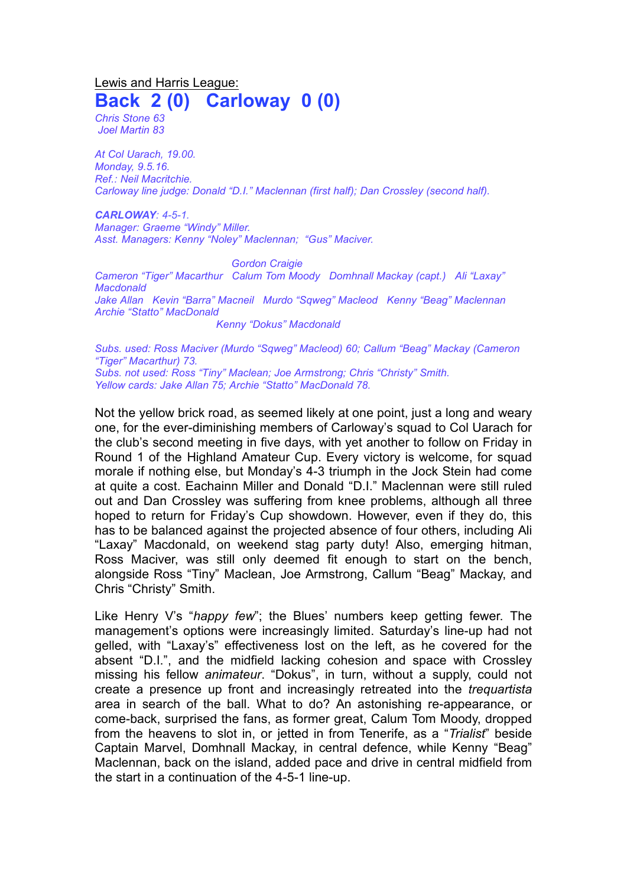Lewis and Harris League: **Back 2 (0) Carloway 0 (0)**

*Chris Stone 63 Joel Martin 83*

*At Col Uarach, 19.00. Monday, 9.5.16. Ref.: Neil Macritchie. Carloway line judge: Donald "D.I." Maclennan (first half); Dan Crossley (second half).*

*CARLOWAY: 4-5-1. Manager: Graeme "Windy" Miller. Asst. Managers: Kenny "Noley" Maclennan; "Gus" Maciver.*

*Gordon Craigie Cameron "Tiger" Macarthur Calum Tom Moody Domhnall Mackay (capt.) Ali "Laxay" Macdonald Jake Allan Kevin "Barra" Macneil Murdo "Sqweg" Macleod Kenny "Beag" Maclennan Archie "Statto" MacDonald Kenny "Dokus" Macdonald* 

*Subs. used: Ross Maciver (Murdo "Sqweg" Macleod) 60; Callum "Beag" Mackay (Cameron "Tiger" Macarthur) 73. Subs. not used: Ross "Tiny" Maclean; Joe Armstrong; Chris "Christy" Smith. Yellow cards: Jake Allan 75; Archie "Statto" MacDonald 78.* 

Not the yellow brick road, as seemed likely at one point, just a long and weary one, for the ever-diminishing members of Carloway's squad to Col Uarach for the club's second meeting in five days, with yet another to follow on Friday in Round 1 of the Highland Amateur Cup. Every victory is welcome, for squad morale if nothing else, but Monday's 4-3 triumph in the Jock Stein had come at quite a cost. Eachainn Miller and Donald "D.I." Maclennan were still ruled out and Dan Crossley was suffering from knee problems, although all three hoped to return for Friday's Cup showdown. However, even if they do, this has to be balanced against the projected absence of four others, including Ali "Laxay" Macdonald, on weekend stag party duty! Also, emerging hitman, Ross Maciver, was still only deemed fit enough to start on the bench, alongside Ross "Tiny" Maclean, Joe Armstrong, Callum "Beag" Mackay, and Chris "Christy" Smith.

Like Henry V's "*happy few*"; the Blues' numbers keep getting fewer. The management's options were increasingly limited. Saturday's line-up had not gelled, with "Laxay's" effectiveness lost on the left, as he covered for the absent "D.I.", and the midfield lacking cohesion and space with Crossley missing his fellow *animateur*. "Dokus", in turn, without a supply, could not create a presence up front and increasingly retreated into the *trequartista* area in search of the ball. What to do? An astonishing re-appearance, or come-back, surprised the fans, as former great, Calum Tom Moody, dropped from the heavens to slot in, or jetted in from Tenerife, as a "*Trialist*" beside Captain Marvel, Domhnall Mackay, in central defence, while Kenny "Beag" Maclennan, back on the island, added pace and drive in central midfield from the start in a continuation of the 4-5-1 line-up.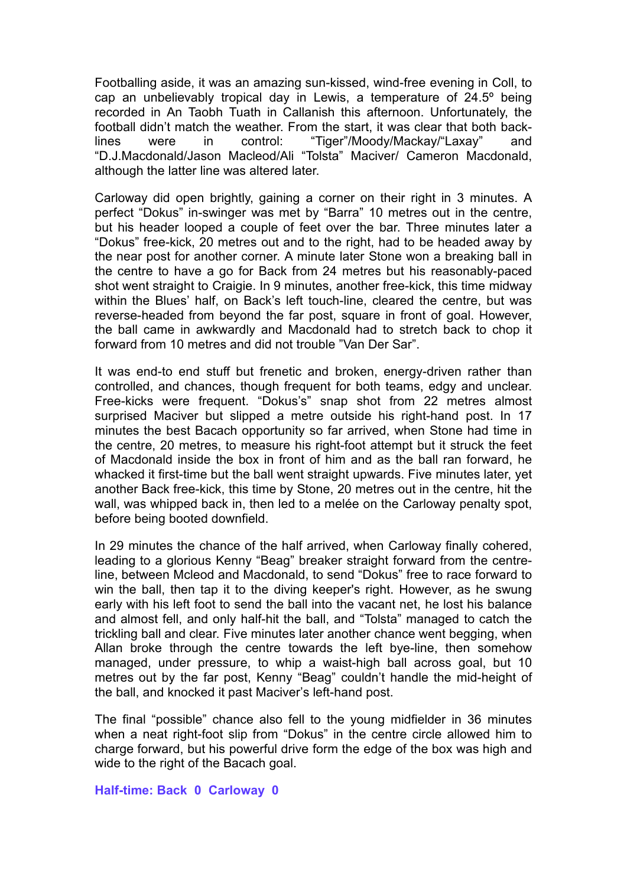Footballing aside, it was an amazing sun-kissed, wind-free evening in Coll, to cap an unbelievably tropical day in Lewis, a temperature of 24.5º being recorded in An Taobh Tuath in Callanish this afternoon. Unfortunately, the football didn't match the weather. From the start, it was clear that both backlines were in control: "Tiger"/Moody/Mackay/"Laxay" and "D.J.Macdonald/Jason Macleod/Ali "Tolsta" Maciver/ Cameron Macdonald, although the latter line was altered later.

Carloway did open brightly, gaining a corner on their right in 3 minutes. A perfect "Dokus" in-swinger was met by "Barra" 10 metres out in the centre, but his header looped a couple of feet over the bar. Three minutes later a "Dokus" free-kick, 20 metres out and to the right, had to be headed away by the near post for another corner. A minute later Stone won a breaking ball in the centre to have a go for Back from 24 metres but his reasonably-paced shot went straight to Craigie. In 9 minutes, another free-kick, this time midway within the Blues' half, on Back's left touch-line, cleared the centre, but was reverse-headed from beyond the far post, square in front of goal. However, the ball came in awkwardly and Macdonald had to stretch back to chop it forward from 10 metres and did not trouble "Van Der Sar".

It was end-to end stuff but frenetic and broken, energy-driven rather than controlled, and chances, though frequent for both teams, edgy and unclear. Free-kicks were frequent. "Dokus's" snap shot from 22 metres almost surprised Maciver but slipped a metre outside his right-hand post. In 17 minutes the best Bacach opportunity so far arrived, when Stone had time in the centre, 20 metres, to measure his right-foot attempt but it struck the feet of Macdonald inside the box in front of him and as the ball ran forward, he whacked it first-time but the ball went straight upwards. Five minutes later, yet another Back free-kick, this time by Stone, 20 metres out in the centre, hit the wall, was whipped back in, then led to a melée on the Carloway penalty spot, before being booted downfield.

In 29 minutes the chance of the half arrived, when Carloway finally cohered, leading to a glorious Kenny "Beag" breaker straight forward from the centreline, between Mcleod and Macdonald, to send "Dokus" free to race forward to win the ball, then tap it to the diving keeper's right. However, as he swung early with his left foot to send the ball into the vacant net, he lost his balance and almost fell, and only half-hit the ball, and "Tolsta" managed to catch the trickling ball and clear. Five minutes later another chance went begging, when Allan broke through the centre towards the left bye-line, then somehow managed, under pressure, to whip a waist-high ball across goal, but 10 metres out by the far post, Kenny "Beag" couldn't handle the mid-height of the ball, and knocked it past Maciver's left-hand post.

The final "possible" chance also fell to the young midfielder in 36 minutes when a neat right-foot slip from "Dokus" in the centre circle allowed him to charge forward, but his powerful drive form the edge of the box was high and wide to the right of the Bacach goal.

## **Half-time: Back 0 Carloway 0**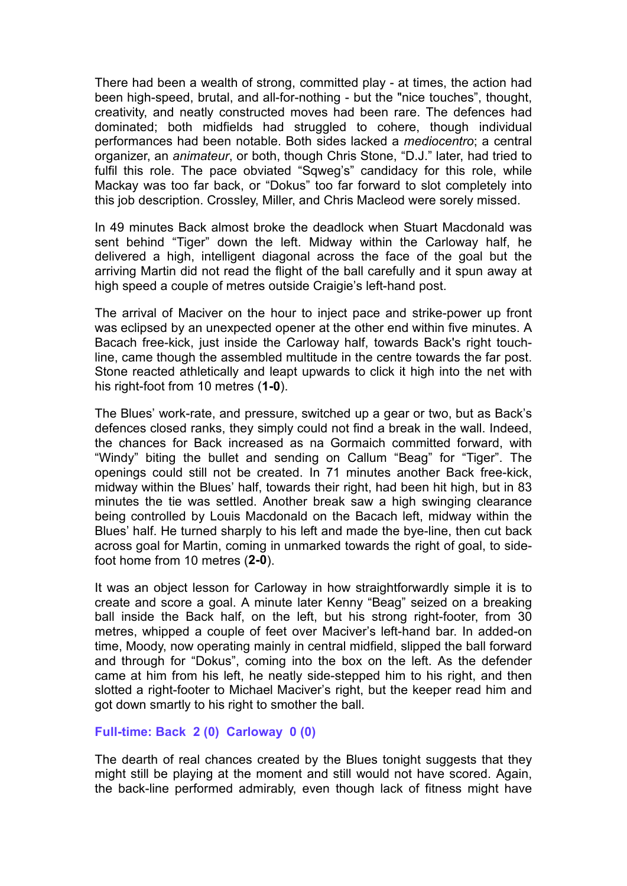There had been a wealth of strong, committed play - at times, the action had been high-speed, brutal, and all-for-nothing - but the "nice touches", thought, creativity, and neatly constructed moves had been rare. The defences had dominated; both midfields had struggled to cohere, though individual performances had been notable. Both sides lacked a *mediocentro*; a central organizer, an *animateur*, or both, though Chris Stone, "D.J." later, had tried to fulfil this role. The pace obviated "Sqweg's" candidacy for this role, while Mackay was too far back, or "Dokus" too far forward to slot completely into this job description. Crossley, Miller, and Chris Macleod were sorely missed.

In 49 minutes Back almost broke the deadlock when Stuart Macdonald was sent behind "Tiger" down the left. Midway within the Carloway half, he delivered a high, intelligent diagonal across the face of the goal but the arriving Martin did not read the flight of the ball carefully and it spun away at high speed a couple of metres outside Craigie's left-hand post.

The arrival of Maciver on the hour to inject pace and strike-power up front was eclipsed by an unexpected opener at the other end within five minutes. A Bacach free-kick, just inside the Carloway half, towards Back's right touchline, came though the assembled multitude in the centre towards the far post. Stone reacted athletically and leapt upwards to click it high into the net with his right-foot from 10 metres (**1-0**).

The Blues' work-rate, and pressure, switched up a gear or two, but as Back's defences closed ranks, they simply could not find a break in the wall. Indeed, the chances for Back increased as na Gormaich committed forward, with "Windy" biting the bullet and sending on Callum "Beag" for "Tiger". The openings could still not be created. In 71 minutes another Back free-kick, midway within the Blues' half, towards their right, had been hit high, but in 83 minutes the tie was settled. Another break saw a high swinging clearance being controlled by Louis Macdonald on the Bacach left, midway within the Blues' half. He turned sharply to his left and made the bye-line, then cut back across goal for Martin, coming in unmarked towards the right of goal, to sidefoot home from 10 metres (**2-0**).

It was an object lesson for Carloway in how straightforwardly simple it is to create and score a goal. A minute later Kenny "Beag" seized on a breaking ball inside the Back half, on the left, but his strong right-footer, from 30 metres, whipped a couple of feet over Maciver's left-hand bar. In added-on time, Moody, now operating mainly in central midfield, slipped the ball forward and through for "Dokus", coming into the box on the left. As the defender came at him from his left, he neatly side-stepped him to his right, and then slotted a right-footer to Michael Maciver's right, but the keeper read him and got down smartly to his right to smother the ball.

## **Full-time: Back 2 (0) Carloway 0 (0)**

The dearth of real chances created by the Blues tonight suggests that they might still be playing at the moment and still would not have scored. Again, the back-line performed admirably, even though lack of fitness might have